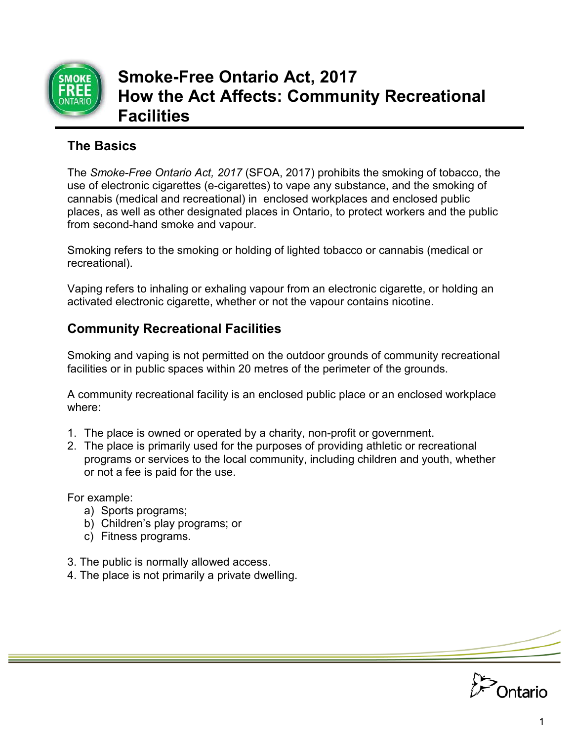

# **Smoke-Free Ontario Act, 2017 How the Act Affects: Community Recreational Facilities**

## **The Basics**

The *Smoke-Free Ontario Act, 2017* (SFOA, 2017) prohibits the smoking of tobacco, the use of electronic cigarettes (e-cigarettes) to vape any substance, and the smoking of cannabis (medical and recreational) in enclosed workplaces and enclosed public places, as well as other designated places in Ontario, to protect workers and the public from second-hand smoke and vapour.

Smoking refers to the smoking or holding of lighted tobacco or cannabis (medical or recreational).

Vaping refers to inhaling or exhaling vapour from an electronic cigarette, or holding an activated electronic cigarette, whether or not the vapour contains nicotine.

## **Community Recreational Facilities**

Smoking and vaping is not permitted on the outdoor grounds of community recreational facilities or in public spaces within 20 metres of the perimeter of the grounds.

A community recreational facility is an enclosed public place or an enclosed workplace where:

- 1. The place is owned or operated by a charity, non-profit or government.
- 2. The place is primarily used for the purposes of providing athletic or recreational programs or services to the local community, including children and youth, whether or not a fee is paid for the use.

For example:

- a) Sports programs;
- b) Children's play programs; or
- c) Fitness programs.
- 3. The public is normally allowed access.
- 4. The place is not primarily a private dwelling.

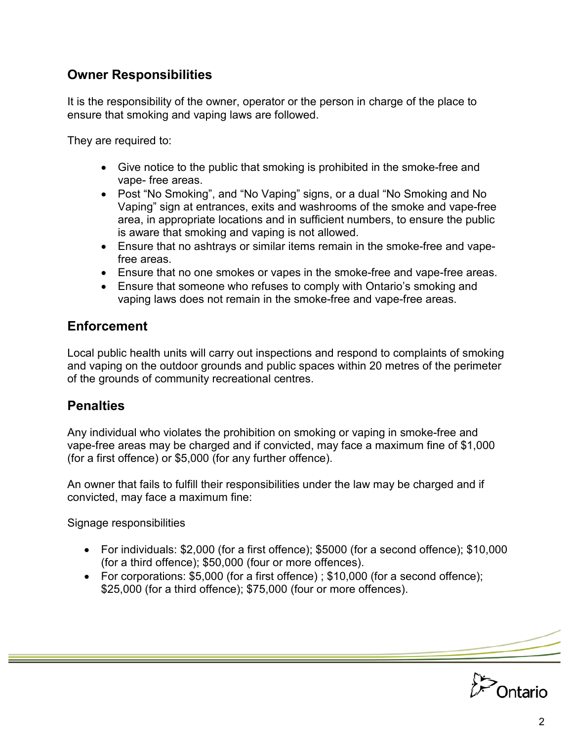#### **Owner Responsibilities**

It is the responsibility of the owner, operator or the person in charge of the place to ensure that smoking and vaping laws are followed.

They are required to:

- Give notice to the public that smoking is prohibited in the smoke-free and vape- free areas.
- Post "No Smoking", and "No Vaping" signs, or a dual "No Smoking and No Vaping" sign at entrances, exits and washrooms of the smoke and vape-free area, in appropriate locations and in sufficient numbers, to ensure the public is aware that smoking and vaping is not allowed.
- Ensure that no ashtrays or similar items remain in the smoke-free and vapefree areas.
- Ensure that no one smokes or vapes in the smoke-free and vape-free areas.
- Ensure that someone who refuses to comply with Ontario's smoking and vaping laws does not remain in the smoke-free and vape-free areas.

#### **Enforcement**

Local public health units will carry out inspections and respond to complaints of smoking and vaping on the outdoor grounds and public spaces within 20 metres of the perimeter of the grounds of community recreational centres.

### **Penalties**

Any individual who violates the prohibition on smoking or vaping in smoke-free and vape-free areas may be charged and if convicted, may face a maximum fine of \$1,000 (for a first offence) or \$5,000 (for any further offence).

An owner that fails to fulfill their responsibilities under the law may be charged and if convicted, may face a maximum fine:

Signage responsibilities

- For individuals: \$2,000 (for a first offence); \$5000 (for a second offence); \$10,000 (for a third offence); \$50,000 (four or more offences).
- For corporations: \$5,000 (for a first offence) ; \$10,000 (for a second offence); \$25,000 (for a third offence); \$75,000 (four or more offences).